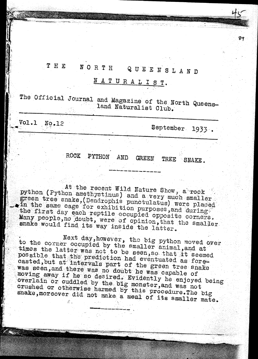### THE NORTH QUEENSLAND

NATURALIST.

The Official Journal and Magazine of the North Queensland Naturalist Club.

 $Vol.1$ No.12

September 1933.

ROCK PYTHON AND **GREEN** TREE SNAKE.

At the recent Wild Nature Show, a rock python (Python amethystinus) and a very much smaller green tree snake, (Dendrophis punctulatus) were placed in the same cage for exhibition purposes, and during the first day each reptile occupied opposite corners. Many people, no doubt, were of opinion, that the smaller snake would find its way inside the latter.

Next day, however, the big python moved over to the corner occupied by the smaller animal, and at times the latter was not to be seen, so that it seemed possible that the prediction had eventuated as forecasted, but at intervals part of the green tree snake was seen, and there was no doubt he was capable of moving away if he so desired. Evidently he enjoyed being overlain or cuddled by the big monster, and was not crushed or otherwise harmed by this procedure. The big snake, moreover did not make a meal of its smaller mate.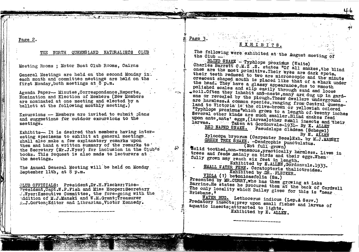Page 2.

**Report Follows** 

### THE NORTH QUEENSLAND NATURALISTS CLUB

Meeting Rooms ; Motor Boat Club Rooms, Cairns

General Meetings are held on the second Monday in. each month and committee meetings are held on the . first Monday, both meetings at 8 p.m.

Agenda Paper-- Minutes, Correspondence, Reports, Nomination and Election of Members (New Members are nominated at one meeting and elected by a ballott at the following monthly meeting.)

Excursions -- Members are invited to submit plans and suggestions for outdoor excursions to the meetings.

Exhibits- It is desired that members having interesting specimens to exhibit at general meetings. shall also make a few explanatory remarks upon them and hand a written summary of the remarks to the Secretary (Mr.J.Wyer) for inclusion in the Club's books. This request is also made to lecturers at the meetings.

The Annual General Meeting will be held on Monday September 11th, at 8 p.m.

CLUB OFFICIALS: President, Dr.H.Flecker: Vice-President, Capt.W.P. Fish and Miss Hooper: Secretary J. Wyer: Executive Committee, the fore-going with the ddition of M.J.Manski and W.M.Grant; Treasurer R.J.Gorton:Editor and Librarian.Victor Kennedy.

Page 3. Which was a series.

 $\mathcal{C}_\lambda \in \mathbb{R}^{C}$ 

The following were exhibited at the August meeting of the Club - 17 1979

BLIND SNAKE - Typhlops proximus (Waite) Charles Barrett C.M.Z..S. states "Of all snakes, the blind ones are the most primitive. Their eyes are dark spots, their teeth reduced to two are microscopic and the minute crescent shaped mouth is placed like that of a shark under the head. They have a glassy appearance, due to smooth polished scales and slip easily through sand and loose soil. Often they inhabit ant-nests, many are dug up in gardens or revealed by the plough. These dwellers underground. are harmless.A common species, ranging from Central Queensland to Victoria is the clive-brown or yellowish colored "Typhlops proximus"which grows to a length of twenty inches Several other kinds are much smaller. Blind snakes feed upon ants, ants' eggs, (larvae) other small insects and their larvae. Taken at Gordonvale-1931- By E. ALLEN RED NAPED SNAKE. Pseudelaps diadema (Schegel)

By E. ALLEN

Xylocopa bryorum (Carpenter Bees)Exh. by M.J.MANSKI GREEN TREE SNAKE. - Dendrophis punctulatus.

(Not full grown)

Solid toothed, non-venemous, practically harmless. Lives in trees and feeds mainly on birds and their eggs. When fully grown may reach six feet in length.

Exhibited by E.ALLEN, Gordonvale.1933. SMALL WATER FERN. Ceratopteris thalictroides. Exhibited by DR. FLECKER.

VIOLA (?) betonicaefolia (Sm.)

Presented by MR.CURRY, who has them growing at Lake Barrine.He states he procured them at the back of Cardwell The only locality which Bailey gives for this is "near

WATER BUG. Lethocerus indicus (Lep. & Serv.) Predatory insects; prey upon small fishes and larvae of aquatic insects; attracted to lights. Exhibited by E. ALLEN.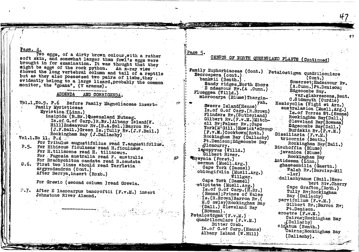Page. 4.

Two eggs, of a dirty brown colour, with a rather soft skin, and somewhat larger than fowl's eggs were brought in for examination. It was thought that they might be eggs of the rock python. An x-ray view " showed the long vertebral column and tail of a reptile but as they also possessed two pairs of limbs, they. evidently belong to a large lizard, probably the common monitor, the "goana", (V aranus).

#### **ADDENDA** AND CORRIGENDA.

Vol.1, No.9. P.6 Before Family Magnoliaceae insert-Family Myristiceae Myristica (Linn.) insipida (R.Br.)Queensland Nutmeg. Is.of.G.of Carp.)R.Br.)Albany Island(W. Hill)Endeavour Rv. (B.&.Sol.)Barron Rv. (J.F.Bail.)Green Is.; Tully Rv. (J.F.Bail.) Rockingham Bay (J.Dailachy)  $Vol.I.M.$   $11.$   $P.A.$ For Tribulus augustifolius read T.angustifolius. P.5. For Hibiscus ficulnens read H.ficulneus. For H.tiliacens read H. tiliaceus. For Fugosia australia read F. australis For Brachvchiton candata read B.caudata D.6. First two lines should read Tarrietia argyrodendren (Cont.) After Berrya.insert (Roxb.) For Grewio (second column ) read Grewia. P.7. After E laeocarpus bancroftii (F.v.M.) insert Johnstone River Almond.

Page 5.

 $\mathcal{L}^{\mathcal{C}}$ 

# CENSUS OF NORTH QUEENSLAND PLANTS (Continued)

Family Euphorbiaceae (Cont.) Petalostigma quadriloculare Neoroepera (cont.)  $\text{Vert}$ . banksii (Benth.). Somerset: Endeavour Rv. Sandy ridges, North Shore (A.Cunn.)Pt.Denison: E ndeavour Rv. (A .Cunn.) Edgecombe Bay. Flueggea (Willd.) var.glabrescens.Bent. microcarpa (Blume)Thargin-C.Sidmouth (Curdie) Hemicyclia (Wight et Arn.) yah. Sweers Island(Henne) australasica (Muell.Arg.) Is.of G.of Carp. (R.Brown) Is. of Torres St. (Henne) Flinders Rv. (Sutherland) Rockingham Bay(Dall.) Gilbert  $Rv$ .  $(F.v.M.)$ Mitch-Cleveland Bay(Bowman) ell Rv; Palmer Rv.: Cape Edgecombe Bay(Dall.) York(M'G111.)Howick'sGroup Burdekin Rv. (F.v.M.) (F.v.M.)Cooktown(Roth.) Dissiliaria (F.v.M.) Rockingham Bay (Dallachy) tricornis (Benth.) Pt.Denison;Edgecombe Bay Rockingham Bay(Dall.) .Cloncurry. Bischoffia (Blume) lecopyrus (Willd.) davanica (Blume) Gilbert River. Rockingham Bav Breynia (Forst.) Antidesma (Linn.) cernua (Muell.Arg.) ghaesembilla (Gaertn.) Cape York (Daemei) Walsh Rv. (Barclay-Mil oblongifolia (Muell.Arg.)  $-Ier)$  $W$ illgar. dallachyanum (Bail.)Her-Cape York (Daemel) bert Riv.Cherry stipitata (Muell.Arg.) Cape Grafton. (Roth.) Is. of G. of Carp. (R.Br.) Tully Rv: Rockingham (Henne): Prince of Wales Bay (Daliachy) ts. (R.Brown) Barron Rv. ( parvifolium (F.v.M.) E.C owley) Rockingham Bav Gilbert Ry.; Barron Rv; (Dall.) Cleveland Bay Pt.Denison.  $($ Bowman $)$ . erostre  $(F_{cV}, M_{s})$ Petalostigma (F.v.M.) Cairns: Rockingham Bay quadriloculare (F.v.M.) (Dallachy) Bitter Crab. sinatum (Benth.) Is.of G.of Carp. (Henne) Cairns; Rockingham Bay Albany Island (W.Hill)  $(D$ allachy $)$ .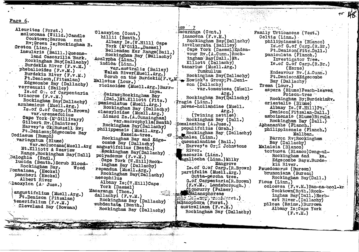Page 6.

ے تواسستگاہے

Aleurites (Forst.) moluccana (Willd.) Candle Cooktown; Barron nut Rv; Green Is: Rockingham B. Croton (Linn.) insularis (Baill.) Queensland Cascarilla Bark. Rockingham Bay(Dallachy) Burdekin River (F.v.M.) phebalioides (F.v.M.) Burdekin River (F.v.M.) Pt.Denison, (Fitzalan) Edgecombe Bay (Dallachy) verreauxii (Bailey) Is. of Go. of Carpentaria triacros  $(F.v.M.)$ Rockingham Bay(Dallachy) arnhemicus (Muell.Arg.) Is. of G.of Carp. (R.Brown) var.urenaefolius Oape York (M'Gillivary) Gilbert Rv. (Daintree) Harvey's Ck; Russell Rv; Pt.Denison; Edgecombe Bay Codiaeum (Rumph) variegatum (Blume) var.moluccana(Muell.Arg Mt.Elliott & Seaview Range, Rockingham Bay(Dall) Baloghia (Endl.) lucida (Benth.) Scrub Blood-Rockingham Bay. Wood Fontainea, (Heckel) pancheri (Heckel) Albert River Glaoxylon (A Juss.) angustifolium (Muell.Arg.) Pt.Denison (Fitzalan) tenerifolium (F.v.M.) Cleveland Bay (Bowman)

Clacxylon (Cont.) hillii (Benth.) Albany Is. (W.Hill) Cape York (M'Gill.,Daemel) Bellenden Ker Range(Bail.) Rockingham Bay (Dallachy) Acalypha (Linn.) indica (Linn.) variaustralis (Bailey) Walsh River(Muell.Arg.) Scrub on the Burdekin(F.v.M. Mallotus (Lour.) ricinoides (Muell.Arg.) Barrinya. Cairns: Rockingham Bay (Dal.)Mt.Elliott (Fitz.) paniculatus (Muell.Arg.) Rockingham Bay (Dallachy) claoxyloides (Muell.Arg.) Lizard Is. (A.Cunningham)  $\sim$  var. macrophylla(Benth) Rockingham Bay(Dallachy) philippensis (Muell.Arg.) Kamela-tree. ∙ঞ Rockingham Bay and Edgecombe Bay (Dallachy) angustifolius (Benth.) Rockingham Bay(Dallachy) polyademus (F.v.M.) Cape York (W.Hill) Rockingham Bay (Dallachy) repandus (Muell.Arg.) Rockingham Bay(Daliachy) nesophilus Albany Is: (W.Hill)Cape York (Daemel) Macaranga (Thon.) dallachyi (F.v.M.)  $\frac{1}{2}$ Rockingham Bay (Dallachy) subdentata (Benth.) Rockingham Bay (Dallachy)

Lacaranga (Cont.) inamoena  $(F.v.M.)$ Rockingham Bay(Dallachy) involucrata (Bailley) Cape York (Daemel)Endeavour Rv. (A.Cunn.) Rockingham Bay(Dall.)Mt. Elliott (Dallachy) tanarius (Muell.Arg.) Tumkullum Rockingham Bay(Dallachy) Howick<sup>1</sup>s Group; Pt. Denison (Dallachy) var.tomentosa (Muell- $Arg.$ ) Rockingham Bay(Dallachy) (Iragia (Linn.) novae-hollandiae (Muell.  $Arg.$ (Twining nettles) Rockingham Bay (Dall.) Homalanthus (A.Juss.) populifolius (Grah.) Rockingham Bay (Dallachy) Omonalea (Linn.) queenslandiae (Bail.) Harvey's Cr: 5 Johnstone River. caecaria (Linn.) agallocha (Linn.) Milky Mángrove Is. of G. of Carp. (R. Brown) parvifolia (Muell.Arg.) Gutta-percha tree. G. of Carpentaria(R. Brown) (F.V.M.) Landsborough.) Cloncurry (Palmer) KBalanophoreae  $\widehat{\mathbb{P}\mathbb{P}^1}$  . We have  $\widehat{\mathbb{P}}$  , we have  $\widehat{\mathbb{P}^1}$  , we have  $\widehat{\mathbb{P}^1}$ salanophora (Forst.) australiana  $(F.v.M.)$ Rockingham Bay (Dallachy)

ratonna. Family Urticaceae (Vent.)  $Celtis$  ( $Lim<sub>a</sub>$ ). philippinensis (Blanco) Is of G. of Carp. (R.Br.) Pt.Denison(Fitz.Dall.) paniculata (Planch.) Investigator Tree. Is.of G.of Carp.(R.Br.) (Herme) Endeavour Rv. (A.Cunn.) Pt.Denison&Edgecombe Bay (Dallachy) Trema (Lour.) aspera (Blume) Peach-leaved Poison-tree Rockingham By; BurdekinRv. orientalis (Blume) Albany Is. (W. Hill) Pt. Denison(Fitzalan-Dall.) amboinensis (Blume) Birula Rockingham Bay (Dall.) Aphananthe (Planch.) philippinensis (Planch.) Mallban. Barron Rv; Rockingham Bay (Dallachy) Malaisia (Blanco) tortuosa (Blanco)Deng-ul-Rockingham and ka. Edgecombe Bays.Burdekin River. Psuedomorus (Bureau) brunoniana (Bureau) Rockingham Bay(Dall.) Ficus (Linn.) colossea (F.v.M.) Ban-na-bool-ka Cooktown(Roth.)Rockingham Bay(Dall.) Herbert River. (Dallachy) pilosa (Reinw.) Burrowa Albany Is: Cape York  $(F_{\bullet}v_{\bullet}M_{\bullet})$